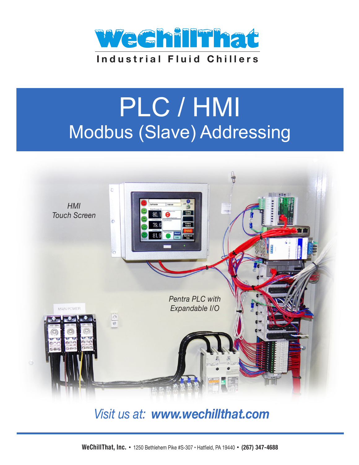

# PLC / HMI Modbus (Slave) Addressing



### Visit us at: www.wechillthat.com

WeChillThat, Inc. • 1250 Bethlehem Pike #S-307 · Hatfield, PA 19440 · (267) 347-4688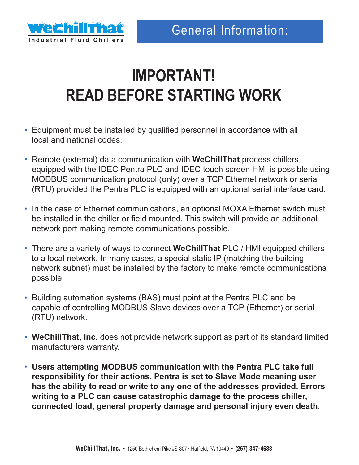

## **IMPORTANT! READ BEFORE STARTING WORK**

- Equipment must be installed by qualified personnel in accordance with all local and national codes.
- Remote (external) data communication with **WeChillThat** process chillers equipped with the IDEC Pentra PLC and IDEC touch screen HMI is possible using MODBUS communication protocol (only) over a TCP Ethernet network or serial (RTU) provided the Pentra PLC is equipped with an optional serial interface card.
- In the case of Ethernet communications, an optional MOXA Ethernet switch must be installed in the chiller or field mounted. This switch will provide an additional network port making remote communications possible.
- There are a variety of ways to connect **WeChillThat** PLC / HMI equipped chillers to a local network. In many cases, a special static IP (matching the building network subnet) must be installed by the factory to make remote communications possible.
- Building automation systems (BAS) must point at the Pentra PLC and be capable of controlling MODBUS Slave devices over a TCP (Ethernet) or serial (RTU) network.
- **WeChillThat, Inc.** does not provide network support as part of its standard limited manufacturers warranty.
- **Users attempting MODBUS communication with the Pentra PLC take full responsibility for their actions. Pentra is set to Slave Mode meaning user has the ability to read or write to any one of the addresses provided. Errors writing to a PLC can cause catastrophic damage to the process chiller, connected load, general property damage and personal injury even death**.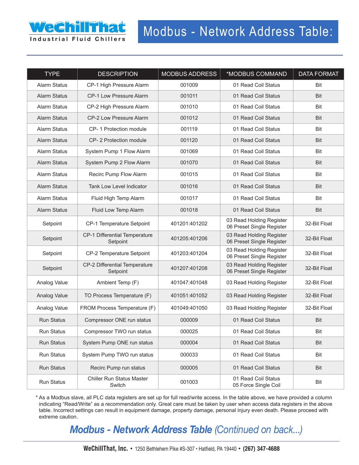

| <b>TYPE</b>         | <b>DESCRIPTION</b>                         | <b>MODBUS ADDRESS</b> | *MODBUS COMMAND                                       | <b>DATA FORMAT</b> |
|---------------------|--------------------------------------------|-----------------------|-------------------------------------------------------|--------------------|
| Alarm Status        | CP-1 High Pressure Alarm                   | 001009                | 01 Read Coil Status                                   | <b>Bit</b>         |
| <b>Alarm Status</b> | CP-1 Low Pressure Alarm                    | 001011                | 01 Read Coil Status                                   | <b>Bit</b>         |
| <b>Alarm Status</b> | CP-2 High Pressure Alarm                   | 001010                | 01 Read Coil Status                                   | Bit                |
| <b>Alarm Status</b> | CP-2 Low Pressure Alarm                    | 001012                | 01 Read Coil Status                                   | Bit                |
| Alarm Status        | CP-1 Protection module                     | 001119                | 01 Read Coil Status                                   | Bit                |
| <b>Alarm Status</b> | CP-2 Protection module                     | 001120                | 01 Read Coil Status                                   | <b>Bit</b>         |
| <b>Alarm Status</b> | System Pump 1 Flow Alarm                   | 001069                | 01 Read Coil Status                                   | Bit                |
| <b>Alarm Status</b> | System Pump 2 Flow Alarm                   | 001070                | 01 Read Coil Status                                   | <b>Bit</b>         |
| <b>Alarm Status</b> | Recirc Pump Flow Alarm                     | 001015                | 01 Read Coil Status                                   | Bit                |
| <b>Alarm Status</b> | Tank Low Level Indicator                   | 001016                | 01 Read Coil Status                                   | <b>Bit</b>         |
| <b>Alarm Status</b> | Fluid High Temp Alarm                      | 001017                | 01 Read Coil Status                                   | Bit                |
| <b>Alarm Status</b> | Fluid Low Temp Alarm                       | 001018                | 01 Read Coil Status                                   | Bit                |
| Setpoint            | CP-1 Temperature Setpoint                  | 401201:401202         | 03 Read Holding Register<br>06 Preset Single Register | 32-Bit Float       |
| Setpoint            | CP-1 Differential Temperature<br>Setpoint  | 401205:401206         | 03 Read Holding Register<br>06 Preset Single Register | 32-Bit Float       |
| Setpoint            | CP-2 Temperature Setpoint                  | 401203:401204         | 03 Read Holding Register<br>06 Preset Single Register | 32-Bit Float       |
| Setpoint            | CP-2 Differential Temperature<br>Setpoint  | 401207:401208         | 03 Read Holding Register<br>06 Preset Single Register | 32-Bit Float       |
| Analog Value        | Ambient Temp (F)                           | 401047:401048         | 03 Read Holding Register                              | 32-Bit Float       |
| Analog Value        | TO Process Temperature (F)                 | 401051:401052         | 03 Read Holding Register                              | 32-Bit Float       |
| Analog Value        | FROM Process Temperature (F)               | 401049:401050         | 03 Read Holding Register                              | 32-Bit Float       |
| <b>Run Status</b>   | Compressor ONE run status                  | 000009                | 01 Read Coil Status                                   | <b>Bit</b>         |
| Run Status          | Compressor TWO run status                  | 000025                | 01 Read Coil Status                                   | Bit                |
| Run Status          | System Pump ONE run status                 | 000004                | 01 Read Coil Status                                   | Bit                |
| Run Status          | System Pump TWO run status                 | 000033                | 01 Read Coil Status                                   | Bit                |
| Run Status          | Recirc Pump run status                     | 000005                | 01 Read Coil Status                                   | Bit                |
| Run Status          | <b>Chiller Run Status Master</b><br>Switch | 001003                | 01 Read Coil Status<br>05 Force Single Coil           | Bit                |

\* As a Modbus slave, all PLC data registers are set up for full read/write access. In the table above, we have provided a column indicating "Read/Write" as a recommendation only. Great care must be taken by user when access data registers in the above table. Incorrect settings can result in equipment damage, property damage, personal injury even death. Please proceed with extreme caution.

*Modbus - Network Address Table (Continued on back...)*